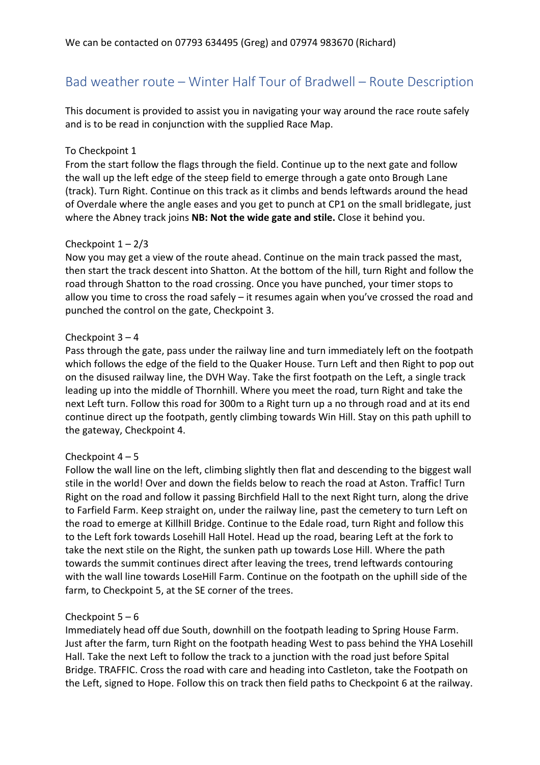# Bad weather route – Winter Half Tour of Bradwell – Route Description

This document is provided to assist you in navigating your way around the race route safely and is to be read in conjunction with the supplied Race Map.

## To Checkpoint 1

From the start follow the flags through the field. Continue up to the next gate and follow the wall up the left edge of the steep field to emerge through a gate onto Brough Lane (track). Turn Right. Continue on this track as it climbs and bends leftwards around the head of Overdale where the angle eases and you get to punch at CP1 on the small bridlegate, just where the Abney track joins **NB: Not the wide gate and stile.** Close it behind you.

## Checkpoint  $1 - 2/3$

Now you may get a view of the route ahead. Continue on the main track passed the mast, then start the track descent into Shatton. At the bottom of the hill, turn Right and follow the road through Shatton to the road crossing. Once you have punched, your timer stops to allow you time to cross the road safely – it resumes again when you've crossed the road and punched the control on the gate, Checkpoint 3.

## Checkpoint 3 – 4

Pass through the gate, pass under the railway line and turn immediately left on the footpath which follows the edge of the field to the Quaker House. Turn Left and then Right to pop out on the disused railway line, the DVH Way. Take the first footpath on the Left, a single track leading up into the middle of Thornhill. Where you meet the road, turn Right and take the next Left turn. Follow this road for 300m to a Right turn up a no through road and at its end continue direct up the footpath, gently climbing towards Win Hill. Stay on this path uphill to the gateway, Checkpoint 4.

#### Checkpoint  $4 - 5$

Follow the wall line on the left, climbing slightly then flat and descending to the biggest wall stile in the world! Over and down the fields below to reach the road at Aston. Traffic! Turn Right on the road and follow it passing Birchfield Hall to the next Right turn, along the drive to Farfield Farm. Keep straight on, under the railway line, past the cemetery to turn Left on the road to emerge at Killhill Bridge. Continue to the Edale road, turn Right and follow this to the Left fork towards Losehill Hall Hotel. Head up the road, bearing Left at the fork to take the next stile on the Right, the sunken path up towards Lose Hill. Where the path towards the summit continues direct after leaving the trees, trend leftwards contouring with the wall line towards LoseHill Farm. Continue on the footpath on the uphill side of the farm, to Checkpoint 5, at the SE corner of the trees.

#### Checkpoint  $5 - 6$

Immediately head off due South, downhill on the footpath leading to Spring House Farm. Just after the farm, turn Right on the footpath heading West to pass behind the YHA Losehill Hall. Take the next Left to follow the track to a junction with the road just before Spital Bridge. TRAFFIC. Cross the road with care and heading into Castleton, take the Footpath on the Left, signed to Hope. Follow this on track then field paths to Checkpoint 6 at the railway.